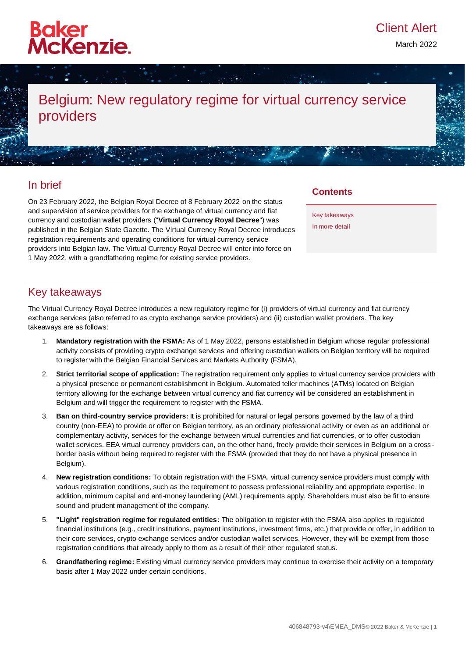

March 2022

# Belgium: New regulatory regime for virtual currency service providers

### In brief

On 23 February 2022, the Belgian Royal Decree of 8 February 2022 on the status and supervision of service providers for the exchange of virtual currency and fiat currency and custodian wallet providers ("**Virtual Currency Royal Decree**") was published in the Belgian State Gazette. The Virtual Currency Royal Decree introduces registration requirements and operating conditions for virtual currency service providers into Belgian law. The Virtual Currency Royal Decree will enter into force on 1 May 2022, with a grandfathering regime for existing service providers.

### **Contents**

[Key takeaways](#page-0-0) [In more detail](#page-0-1) 

## <span id="page-0-0"></span>Key takeaways

The Virtual Currency Royal Decree introduces a new regulatory regime for (i) providers of virtual currency and fiat currency exchange services (also referred to as crypto exchange service providers) and (ii) custodian wallet providers. The key takeaways are as follows:

- 1. **Mandatory registration with the FSMA:** As of 1 May 2022, persons established in Belgium whose regular professional activity consists of providing crypto exchange services and offering custodian wallets on Belgian territory will be required to register with the Belgian Financial Services and Markets Authority (FSMA).
- 2. **Strict territorial scope of application:** The registration requirement only applies to virtual currency service providers with a physical presence or permanent establishment in Belgium. Automated teller machines (ATMs) located on Belgian territory allowing for the exchange between virtual currency and fiat currency will be considered an establishment in Belgium and will trigger the requirement to register with the FSMA.
- 3. **Ban on third-country service providers:** It is prohibited for natural or legal persons governed by the law of a third country (non-EEA) to provide or offer on Belgian territory, as an ordinary professional activity or even as an additional or complementary activity, services for the exchange between virtual currencies and fiat currencies, or to offer custodian wallet services. EEA virtual currency providers can, on the other hand, freely provide their services in Belgium on a crossborder basis without being required to register with the FSMA (provided that they do not have a physical presence in Belgium).
- 4. **New registration conditions:** To obtain registration with the FSMA, virtual currency service providers must comply with various registration conditions, such as the requirement to possess professional reliability and appropriate expertise. In addition, minimum capital and anti-money laundering (AML) requirements apply. Shareholders must also be fit to ensure sound and prudent management of the company.
- 5. **"Light" registration regime for regulated entities:** The obligation to register with the FSMA also applies to regulated financial institutions (e.g., credit institutions, payment institutions, investment firms, etc.) that provide or offer, in addition to their core services, crypto exchange services and/or custodian wallet services. However, they will be exempt from those registration conditions that already apply to them as a result of their other regulated status.
- <span id="page-0-1"></span>6. **Grandfathering regime:** Existing virtual currency service providers may continue to exercise their activity on a temporary basis after 1 May 2022 under certain conditions.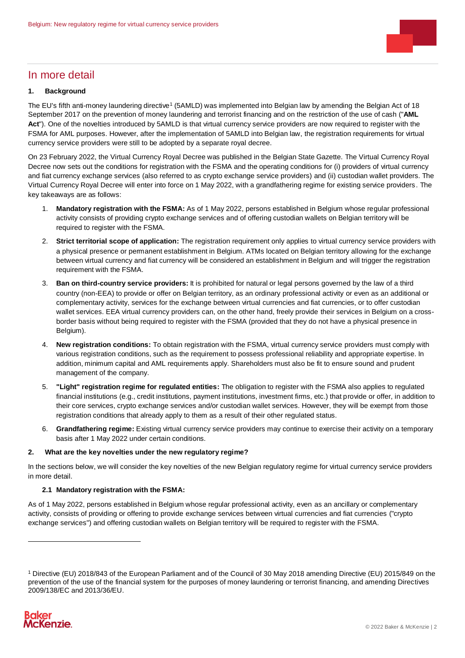

### In more detail

#### **1. Background**

The EU's fifth anti-money laundering directive<sup>1</sup> (5AMLD) was implemented into Belgian law by amending the Belgian Act of 18 September 2017 on the prevention of money laundering and terrorist financing and on the restriction of the use of cash ("**AML Act**"). One of the novelties introduced by 5AMLD is that virtual currency service providers are now required to register with the FSMA for AML purposes. However, after the implementation of 5AMLD into Belgian law, the registration requirements for virtual currency service providers were still to be adopted by a separate royal decree.

On 23 February 2022, the Virtual Currency Royal Decree was published in the Belgian State Gazette. The Virtual Currency Royal Decree now sets out the conditions for registration with the FSMA and the operating conditions for (i) providers of virtual currency and fiat currency exchange services (also referred to as crypto exchange service providers) and (ii) custodian wallet providers. The Virtual Currency Royal Decree will enter into force on 1 May 2022, with a grandfathering regime for existing service providers. The key takeaways are as follows:

- 1. **Mandatory registration with the FSMA:** As of 1 May 2022, persons established in Belgium whose regular professional activity consists of providing crypto exchange services and of offering custodian wallets on Belgian territory will be required to register with the FSMA.
- 2. **Strict territorial scope of application:** The registration requirement only applies to virtual currency service providers with a physical presence or permanent establishment in Belgium. ATMs located on Belgian territory allowing for the exchange between virtual currency and fiat currency will be considered an establishment in Belgium and will trigger the registration requirement with the FSMA.
- 3. **Ban on third-country service providers:** It is prohibited for natural or legal persons governed by the law of a third country (non-EEA) to provide or offer on Belgian territory, as an ordinary professional activity or even as an additional or complementary activity, services for the exchange between virtual currencies and fiat currencies, or to offer custodian wallet services. EEA virtual currency providers can, on the other hand, freely provide their services in Belgium on a crossborder basis without being required to register with the FSMA (provided that they do not have a physical presence in Belgium).
- 4. **New registration conditions:** To obtain registration with the FSMA, virtual currency service providers must comply with various registration conditions, such as the requirement to possess professional reliability and appropriate expertise. In addition, minimum capital and AML requirements apply. Shareholders must also be fit to ensure sound and prudent management of the company.
- 5. **"Light" registration regime for regulated entities:** The obligation to register with the FSMA also applies to regulated financial institutions (e.g., credit institutions, payment institutions, investment firms, etc.) that provide or offer, in addition to their core services, crypto exchange services and/or custodian wallet services. However, they will be exempt from those registration conditions that already apply to them as a result of their other regulated status.
- 6. **Grandfathering regime:** Existing virtual currency service providers may continue to exercise their activity on a temporary basis after 1 May 2022 under certain conditions.

#### **2. What are the key novelties under the new regulatory regime?**

In the sections below, we will consider the key novelties of the new Belgian regulatory regime for virtual currency service providers in more detail.

#### **2.1 Mandatory registration with the FSMA:**

As of 1 May 2022, persons established in Belgium whose regular professional activity, even as an ancillary or complementary activity, consists of providing or offering to provide exchange services between virtual currencies and fiat currencies ("crypto exchange services") and offering custodian wallets on Belgian territory will be required to register with the FSMA.

<sup>1</sup> Directive (EU) 2018/843 of the European Parliament and of the Council of 30 May 2018 amending Directive (EU) 2015/849 on the prevention of the use of the financial system for the purposes of money laundering or terrorist financing, and amending Directives 2009/138/EC and 2013/36/EU.



-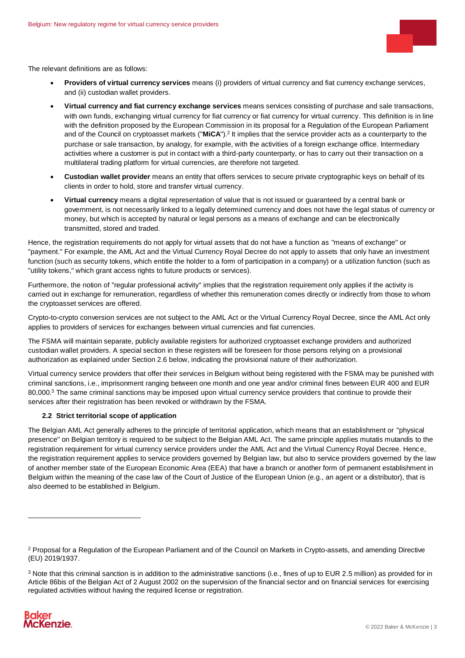

The relevant definitions are as follows:

- **Providers of virtual currency services** means (i) providers of virtual currency and fiat currency exchange services, and (ii) custodian wallet providers.
- **Virtual currency and fiat currency exchange services** means services consisting of purchase and sale transactions, with own funds, exchanging virtual currency for fiat currency or fiat currency for virtual currency. This definition is in line with the definition proposed by the European Commission in its proposal for a Regulation of the European Parliament and of the Council on cryptoasset markets ("MiCA").<sup>2</sup> It implies that the service provider acts as a counterparty to the purchase or sale transaction, by analogy, for example, with the activities of a foreign exchange office. Intermediary activities where a customer is put in contact with a third-party counterparty, or has to carry out their transaction on a multilateral trading platform for virtual currencies, are therefore not targeted.
- **Custodian wallet provider** means an entity that offers services to secure private cryptographic keys on behalf of its clients in order to hold, store and transfer virtual currency.
- **Virtual currency** means a digital representation of value that is not issued or guaranteed by a central bank or government, is not necessarily linked to a legally determined currency and does not have the legal status of currency or money, but which is accepted by natural or legal persons as a means of exchange and can be electronically transmitted, stored and traded.

Hence, the registration requirements do not apply for virtual assets that do not have a function as "means of exchange" or "payment." For example, the AML Act and the Virtual Currency Royal Decree do not apply to assets that only have an investment function (such as security tokens, which entitle the holder to a form of participation in a company) or a utilization function (such as "utility tokens," which grant access rights to future products or services).

Furthermore, the notion of "regular professional activity" implies that the registration requirement only applies if the activity is carried out in exchange for remuneration, regardless of whether this remuneration comes directly or indirectly from those to whom the cryptoasset services are offered.

Crypto-to-crypto conversion services are not subject to the AML Act or the Virtual Currency Royal Decree, since the AML Act only applies to providers of services for exchanges between virtual currencies and fiat currencies.

The FSMA will maintain separate, publicly available registers for authorized cryptoasset exchange providers and authorized custodian wallet providers. A special section in these registers will be foreseen for those persons relying on a provisional authorization as explained under Sectio[n 2.6](#page-4-0) below, indicating the provisional nature of their authorization.

Virtual currency service providers that offer their services in Belgium without being registered with the FSMA may be punished with criminal sanctions, i.e., imprisonment ranging between one month and one year and/or criminal fines between EUR 400 and EUR 80,000.<sup>3</sup> The same criminal sanctions may be imposed upon virtual currency service providers that continue to provide their services after their registration has been revoked or withdrawn by the FSMA.

#### **2.2 Strict territorial scope of application**

The Belgian AML Act generally adheres to the principle of territorial application, which means that an establishment or "physical presence" on Belgian territory is required to be subject to the Belgian AML Act. The same principle applies mutatis mutandis to the registration requirement for virtual currency service providers under the AML Act and the Virtual Currency Royal Decree. Hence, the registration requirement applies to service providers governed by Belgian law, but also to service providers governed by the law of another member state of the European Economic Area (EEA) that have a branch or another form of permanent establishment in Belgium within the meaning of the case law of the Court of Justice of the European Union (e.g., an agent or a distributor), that is also deemed to be established in Belgium.

<sup>3</sup> Note that this criminal sanction is in addition to the administrative sanctions (i.e., fines of up to EUR 2.5 million) as provided for in Article 86bis of the Belgian Act of 2 August 2002 on the supervision of the financial sector and on financial services for exercising regulated activities without having the required license or registration.



 $\overline{a}$ 

<sup>&</sup>lt;sup>2</sup> Proposal for a Regulation of the European Parliament and of the Council on Markets in Crypto-assets, and amending Directive (EU) 2019/1937.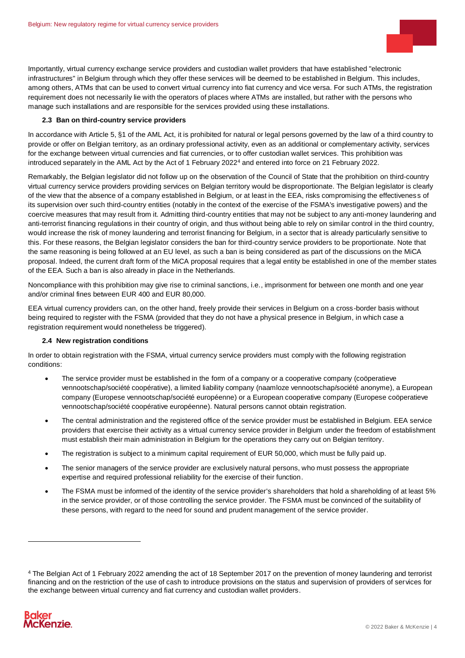

Importantly, virtual currency exchange service providers and custodian wallet providers that have established "electronic infrastructures" in Belgium through which they offer these services will be deemed to be established in Belgium. This includes, among others, ATMs that can be used to convert virtual currency into fiat currency and vice versa. For such ATMs, the registration requirement does not necessarily lie with the operators of places where ATMs are installed, but rather with the persons who manage such installations and are responsible for the services provided using these installations.

#### **2.3 Ban on third-country service providers**

In accordance with Article 5, §1 of the AML Act, it is prohibited for natural or legal persons governed by the law of a third country to provide or offer on Belgian territory, as an ordinary professional activity, even as an additional or complementary activity, services for the exchange between virtual currencies and fiat currencies, or to offer custodian wallet services. This prohibition was introduced separately in the AML Act by the Act of 1 February 2022<sup>4</sup> and entered into force on 21 February 2022.

Remarkably, the Belgian legislator did not follow up on the observation of the Council of State that the prohibition on third-country virtual currency service providers providing services on Belgian territory would be disproportionate. The Belgian legislator is clearly of the view that the absence of a company established in Belgium, or at least in the EEA, risks compromising the effectivenes s of its supervision over such third-country entities (notably in the context of the exercise of the FSMA's investigative powers) and the coercive measures that may result from it. Admitting third-country entities that may not be subject to any anti-money laundering and anti-terrorist financing regulations in their country of origin, and thus without being able to rely on similar control in the third country, would increase the risk of money laundering and terrorist financing for Belgium, in a sector that is already particularly sensitive to this. For these reasons, the Belgian legislator considers the ban for third-country service providers to be proportionate. Note that the same reasoning is being followed at an EU level, as such a ban is being considered as part of the discussions on the MiCA proposal. Indeed, the current draft form of the MiCA proposal requires that a legal entity be established in one of the member states of the EEA. Such a ban is also already in place in the Netherlands.

Noncompliance with this prohibition may give rise to criminal sanctions, i.e., imprisonment for between one month and one year and/or criminal fines between EUR 400 and EUR 80,000.

EEA virtual currency providers can, on the other hand, freely provide their services in Belgium on a cross-border basis without being required to register with the FSMA (provided that they do not have a physical presence in Belgium, in which case a registration requirement would nonetheless be triggered).

#### **2.4 New registration conditions**

<span id="page-3-0"></span>In order to obtain registration with the FSMA, virtual currency service providers must comply with the following registration conditions:

- The service provider must be established in the form of a company or a cooperative company (coöperatieve vennootschap/société coopérative), a limited liability company (naamloze vennootschap/société anonyme), a European company (Europese vennootschap/société européenne) or a European cooperative company (Europese coöperatieve vennootschap/société coopérative européenne). Natural persons cannot obtain registration.
- The central administration and the registered office of the service provider must be established in Belgium. EEA service providers that exercise their activity as a virtual currency service provider in Belgium under the freedom of establishment must establish their main administration in Belgium for the operations they carry out on Belgian territory.
- The registration is subject to a minimum capital requirement of EUR 50,000, which must be fully paid up.
- The senior managers of the service provider are exclusively natural persons, who must possess the appropriate expertise and required professional reliability for the exercise of their function.
- The FSMA must be informed of the identity of the service provider's shareholders that hold a shareholding of at least 5% in the service provider, or of those controlling the service provider. The FSMA must be convinced of the suitability of these persons, with regard to the need for sound and prudent management of the service provider.

<sup>4</sup> The Belgian Act of 1 February 2022 amending the act of 18 September 2017 on the prevention of money laundering and terrorist financing and on the restriction of the use of cash to introduce provisions on the status and supervision of providers of services for the exchange between virtual currency and fiat currency and custodian wallet providers.



-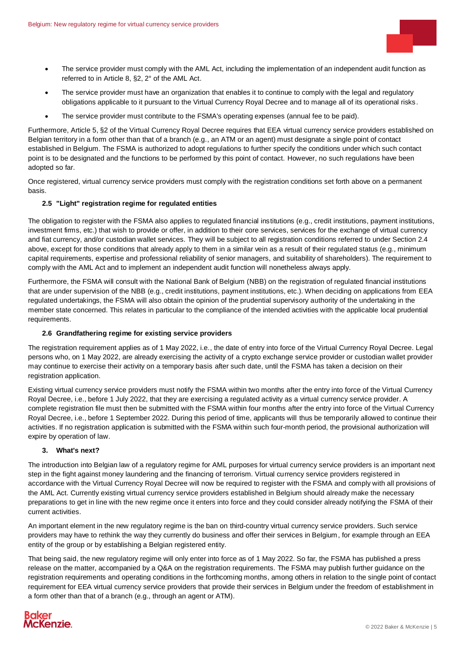

- The service provider must comply with the AML Act, including the implementation of an independent audit function as referred to in Article 8, §2, 2° of the AML Act.
- The service provider must have an organization that enables it to continue to comply with the legal and regulatory obligations applicable to it pursuant to the Virtual Currency Royal Decree and to manage all of its operational risks.
- The service provider must contribute to the FSMA's operating expenses (annual fee to be paid).

Furthermore, Article 5, §2 of the Virtual Currency Royal Decree requires that EEA virtual currency service providers established on Belgian territory in a form other than that of a branch (e.g., an ATM or an agent) must designate a single point of contact established in Belgium. The FSMA is authorized to adopt regulations to further specify the conditions under which such contact point is to be designated and the functions to be performed by this point of contact. However, no such regulations have been adopted so far.

Once registered, virtual currency service providers must comply with the registration conditions set forth above on a permanent basis.

#### **2.5 "Light" registration regime for regulated entities**

The obligation to register with the FSMA also applies to regulated financial institutions (e.g., credit institutions, payment institutions, investment firms, etc.) that wish to provide or offer, in addition to their core services, services for the exchange of virtual currency and fiat currency, and/or custodian wallet services. They will be subject to all registration conditions referred to under Sectio[n 2.4](#page-3-0) above, except for those conditions that already apply to them in a similar vein as a result of their regulated status (e.g., minimum capital requirements, expertise and professional reliability of senior managers, and suitability of shareholders). The requirement to comply with the AML Act and to implement an independent audit function will nonetheless always apply.

Furthermore, the FSMA will consult with the National Bank of Belgium (NBB) on the registration of regulated financial institutions that are under supervision of the NBB (e.g., credit institutions, payment institutions, etc.). When deciding on applications from EEA regulated undertakings, the FSMA will also obtain the opinion of the prudential supervisory authority of the undertaking in the member state concerned. This relates in particular to the compliance of the intended activities with the applicable local prudential requirements.

#### **2.6 Grandfathering regime for existing service providers**

<span id="page-4-0"></span>The registration requirement applies as of 1 May 2022, i.e., the date of entry into force of the Virtual Currency Royal Decree. Legal persons who, on 1 May 2022, are already exercising the activity of a crypto exchange service provider or custodian wallet provider may continue to exercise their activity on a temporary basis after such date, until the FSMA has taken a decision on their registration application.

Existing virtual currency service providers must notify the FSMA within two months after the entry into force of the Virtual Currency Royal Decree, i.e., before 1 July 2022, that they are exercising a regulated activity as a virtual currency service provider. A complete registration file must then be submitted with the FSMA within four months after the entry into force of the Virtual Currency Royal Decree, i.e., before 1 September 2022. During this period of time, applicants will thus be temporarily allowed to continue their activities. If no registration application is submitted with the FSMA within such four-month period, the provisional authorization will expire by operation of law.

#### **3. What's next?**

The introduction into Belgian law of a regulatory regime for AML purposes for virtual currency service providers is an important next step in the fight against money laundering and the financing of terrorism. Virtual currency service providers registered in accordance with the Virtual Currency Royal Decree will now be required to register with the FSMA and comply with all provisions of the AML Act. Currently existing virtual currency service providers established in Belgium should already make the necessary preparations to get in line with the new regime once it enters into force and they could consider already notifying the FSMA of their current activities.

An important element in the new regulatory regime is the ban on third-country virtual currency service providers. Such service providers may have to rethink the way they currently do business and offer their services in Belgium, for example through an EEA entity of the group or by establishing a Belgian registered entity.

That being said, the new regulatory regime will only enter into force as of 1 May 2022. So far, the FSMA has published a press release on the matter, accompanied by a Q&A on the registration requirements. The FSMA may publish further guidance on the registration requirements and operating conditions in the forthcoming months, among others in relation to the single point of contact requirement for EEA virtual currency service providers that provide their services in Belgium under the freedom of establishment in a form other than that of a branch (e.g., through an agent or ATM).